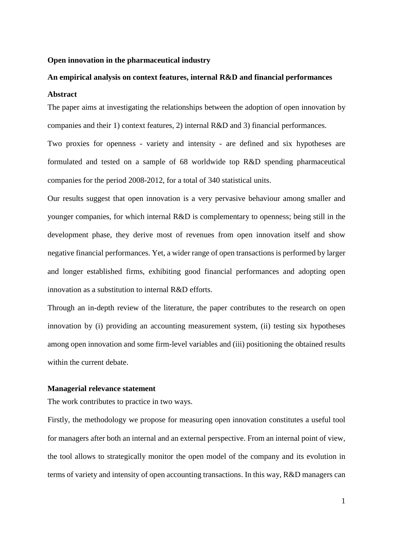#### **Open innovation in the pharmaceutical industry**

### **An empirical analysis on context features, internal R&D and financial performances**

#### **Abstract**

The paper aims at investigating the relationships between the adoption of open innovation by companies and their 1) context features, 2) internal R&D and 3) financial performances.

Two proxies for openness - variety and intensity - are defined and six hypotheses are formulated and tested on a sample of 68 worldwide top R&D spending pharmaceutical companies for the period 2008-2012, for a total of 340 statistical units.

Our results suggest that open innovation is a very pervasive behaviour among smaller and younger companies, for which internal R&D is complementary to openness; being still in the development phase, they derive most of revenues from open innovation itself and show negative financial performances. Yet, a wider range of open transactions is performed by larger and longer established firms, exhibiting good financial performances and adopting open innovation as a substitution to internal R&D efforts.

Through an in-depth review of the literature, the paper contributes to the research on open innovation by (i) providing an accounting measurement system, (ii) testing six hypotheses among open innovation and some firm-level variables and (iii) positioning the obtained results within the current debate.

#### **Managerial relevance statement**

The work contributes to practice in two ways.

Firstly, the methodology we propose for measuring open innovation constitutes a useful tool for managers after both an internal and an external perspective. From an internal point of view, the tool allows to strategically monitor the open model of the company and its evolution in terms of variety and intensity of open accounting transactions. In this way, R&D managers can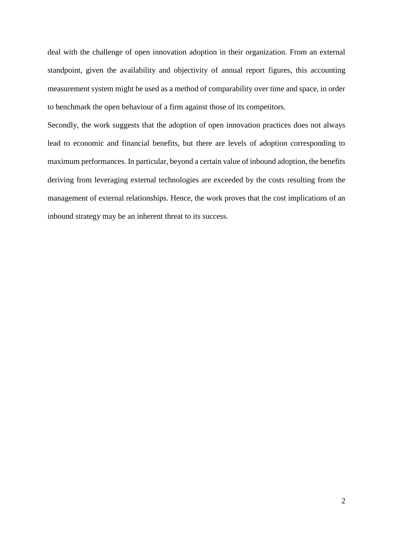deal with the challenge of open innovation adoption in their organization. From an external standpoint, given the availability and objectivity of annual report figures, this accounting measurement system might be used as a method of comparability over time and space, in order to benchmark the open behaviour of a firm against those of its competitors.

Secondly, the work suggests that the adoption of open innovation practices does not always lead to economic and financial benefits, but there are levels of adoption corresponding to maximum performances. In particular, beyond a certain value of inbound adoption, the benefits deriving from leveraging external technologies are exceeded by the costs resulting from the management of external relationships. Hence, the work proves that the cost implications of an inbound strategy may be an inherent threat to its success.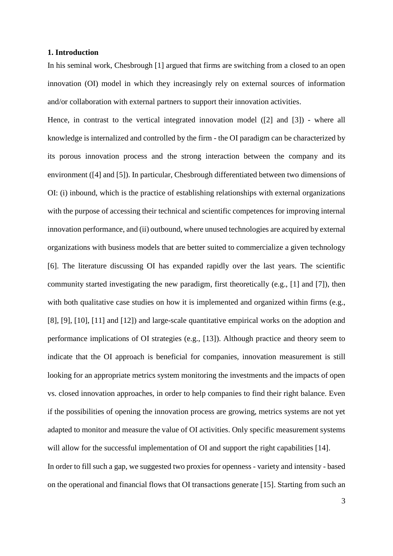### **1. Introduction**

In his seminal work, Chesbrough [1] argued that firms are switching from a closed to an open innovation (OI) model in which they increasingly rely on external sources of information and/or collaboration with external partners to support their innovation activities.

Hence, in contrast to the vertical integrated innovation model ([2] and [3]) - where all knowledge is internalized and controlled by the firm - the OI paradigm can be characterized by its porous innovation process and the strong interaction between the company and its environment ([4] and [5]). In particular, Chesbrough differentiated between two dimensions of OI: (i) inbound, which is the practice of establishing relationships with external organizations with the purpose of accessing their technical and scientific competences for improving internal innovation performance, and (ii) outbound, where unused technologies are acquired by external organizations with business models that are better suited to commercialize a given technology [6]. The literature discussing OI has expanded rapidly over the last years. The scientific community started investigating the new paradigm, first theoretically (e.g., [1] and [7]), then with both qualitative case studies on how it is implemented and organized within firms (e.g., [8], [9], [10], [11] and [12]) and large-scale quantitative empirical works on the adoption and performance implications of OI strategies (e.g., [13]). Although practice and theory seem to indicate that the OI approach is beneficial for companies, innovation measurement is still looking for an appropriate metrics system monitoring the investments and the impacts of open vs. closed innovation approaches, in order to help companies to find their right balance. Even if the possibilities of opening the innovation process are growing, metrics systems are not yet adapted to monitor and measure the value of OI activities. Only specific measurement systems will allow for the successful implementation of OI and support the right capabilities [14]. In order to fill such a gap, we suggested two proxies for openness - variety and intensity - based on the operational and financial flows that OI transactions generate [15]. Starting from such an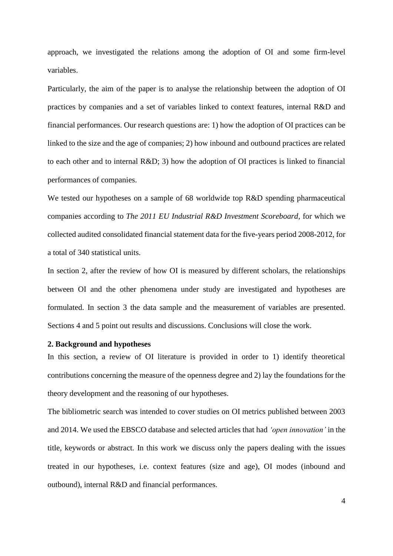approach, we investigated the relations among the adoption of OI and some firm-level variables.

Particularly, the aim of the paper is to analyse the relationship between the adoption of OI practices by companies and a set of variables linked to context features, internal R&D and financial performances. Our research questions are: 1) how the adoption of OI practices can be linked to the size and the age of companies; 2) how inbound and outbound practices are related to each other and to internal R&D; 3) how the adoption of OI practices is linked to financial performances of companies.

We tested our hypotheses on a sample of 68 worldwide top R&D spending pharmaceutical companies according to *The 2011 EU Industrial R&D Investment Scoreboard*, for which we collected audited consolidated financial statement data for the five-years period 2008-2012, for a total of 340 statistical units.

In section 2, after the review of how OI is measured by different scholars, the relationships between OI and the other phenomena under study are investigated and hypotheses are formulated. In section 3 the data sample and the measurement of variables are presented. Sections 4 and 5 point out results and discussions. Conclusions will close the work.

#### **2. Background and hypotheses**

In this section, a review of OI literature is provided in order to 1) identify theoretical contributions concerning the measure of the openness degree and 2) lay the foundations for the theory development and the reasoning of our hypotheses.

The bibliometric search was intended to cover studies on OI metrics published between 2003 and 2014. We used the EBSCO database and selected articles that had *'open innovation'* in the title, keywords or abstract. In this work we discuss only the papers dealing with the issues treated in our hypotheses, i.e. context features (size and age), OI modes (inbound and outbound), internal R&D and financial performances.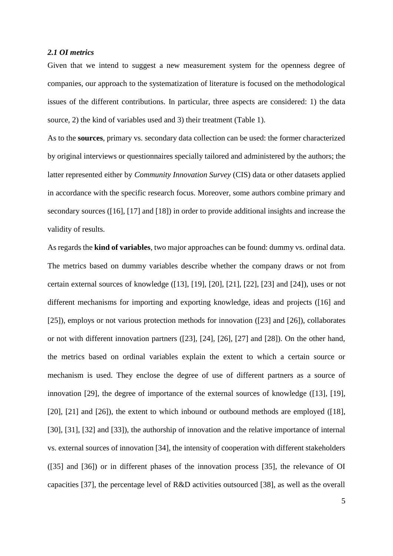### *2.1 OI metrics*

Given that we intend to suggest a new measurement system for the openness degree of companies, our approach to the systematization of literature is focused on the methodological issues of the different contributions. In particular, three aspects are considered: 1) the data source, 2) the kind of variables used and 3) their treatment (Table 1).

As to the **sources**, primary vs. secondary data collection can be used: the former characterized by original interviews or questionnaires specially tailored and administered by the authors; the latter represented either by *Community Innovation Survey* (CIS) data or other datasets applied in accordance with the specific research focus. Moreover, some authors combine primary and secondary sources ([16], [17] and [18]) in order to provide additional insights and increase the validity of results.

As regards the **kind of variables**, two major approaches can be found: dummy vs. ordinal data. The metrics based on dummy variables describe whether the company draws or not from certain external sources of knowledge ([13], [19], [20], [21], [22], [23] and [24]), uses or not different mechanisms for importing and exporting knowledge, ideas and projects ([16] and [25]), employs or not various protection methods for innovation ([23] and [26]), collaborates or not with different innovation partners ([23], [24], [26], [27] and [28]). On the other hand, the metrics based on ordinal variables explain the extent to which a certain source or mechanism is used. They enclose the degree of use of different partners as a source of innovation [29], the degree of importance of the external sources of knowledge ([13], [19], [20], [21] and [26]), the extent to which inbound or outbound methods are employed ([18], [30], [31], [32] and [33]), the authorship of innovation and the relative importance of internal vs. external sources of innovation [34], the intensity of cooperation with different stakeholders ([35] and [36]) or in different phases of the innovation process [35], the relevance of OI capacities [37], the percentage level of R&D activities outsourced [38], as well as the overall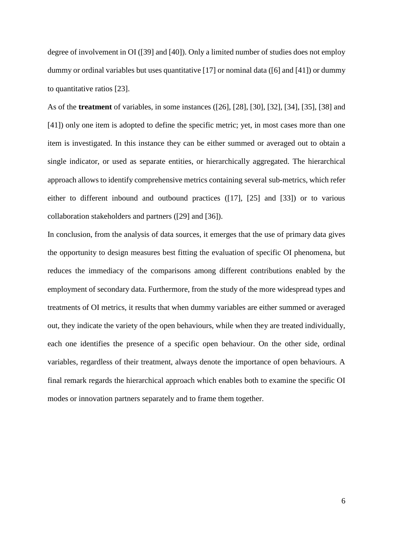degree of involvement in OI ([39] and [40]). Only a limited number of studies does not employ dummy or ordinal variables but uses quantitative [17] or nominal data ([6] and [41]) or dummy to quantitative ratios [23].

As of the **treatment** of variables, in some instances ([26], [28], [30], [32], [34], [35], [38] and [41]) only one item is adopted to define the specific metric; yet, in most cases more than one item is investigated. In this instance they can be either summed or averaged out to obtain a single indicator, or used as separate entities, or hierarchically aggregated. The hierarchical approach allows to identify comprehensive metrics containing several sub-metrics, which refer either to different inbound and outbound practices ([17], [25] and [33]) or to various collaboration stakeholders and partners ([29] and [36]).

In conclusion, from the analysis of data sources, it emerges that the use of primary data gives the opportunity to design measures best fitting the evaluation of specific OI phenomena, but reduces the immediacy of the comparisons among different contributions enabled by the employment of secondary data. Furthermore, from the study of the more widespread types and treatments of OI metrics, it results that when dummy variables are either summed or averaged out, they indicate the variety of the open behaviours, while when they are treated individually, each one identifies the presence of a specific open behaviour. On the other side, ordinal variables, regardless of their treatment, always denote the importance of open behaviours. A final remark regards the hierarchical approach which enables both to examine the specific OI modes or innovation partners separately and to frame them together.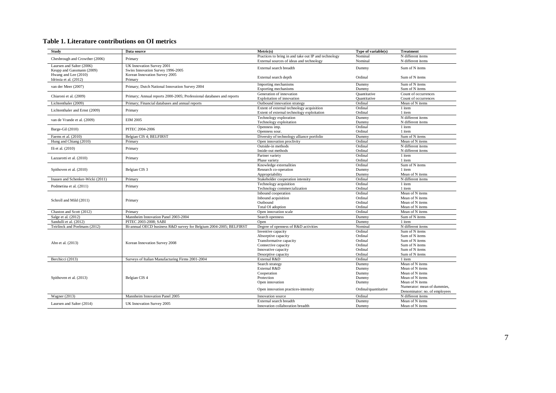### **Table 1. Literature contributions on OI metrics**

| Study                            | Data source                                                           | Metric(s)                                            | Type of variable(s)                                                                                                                                                                                                                                                                                                                                                                                                                                                                                                                                                                                                                                                                 | <b>Treatment</b>                   |
|----------------------------------|-----------------------------------------------------------------------|------------------------------------------------------|-------------------------------------------------------------------------------------------------------------------------------------------------------------------------------------------------------------------------------------------------------------------------------------------------------------------------------------------------------------------------------------------------------------------------------------------------------------------------------------------------------------------------------------------------------------------------------------------------------------------------------------------------------------------------------------|------------------------------------|
|                                  |                                                                       | Practices to bring in and take out IP and technology | Nominal                                                                                                                                                                                                                                                                                                                                                                                                                                                                                                                                                                                                                                                                             | N different items                  |
| Chesbrough and Crowther (2006)   | Primary                                                               | External sources of ideas and technology             | Nominal                                                                                                                                                                                                                                                                                                                                                                                                                                                                                                                                                                                                                                                                             | N different items                  |
| Laursen and Salter (2006)        | UK Innovation Survey 2001                                             | External search breadth                              | Dummy                                                                                                                                                                                                                                                                                                                                                                                                                                                                                                                                                                                                                                                                               | Sum of N items                     |
| Keupp and Gassmann (2009)        | Swiss Innovation Survey 1996-2005                                     |                                                      |                                                                                                                                                                                                                                                                                                                                                                                                                                                                                                                                                                                                                                                                                     |                                    |
| Hwang and Lee (2010)             | Korean Innovation Survey 2005                                         | External search depth                                | Ordinal                                                                                                                                                                                                                                                                                                                                                                                                                                                                                                                                                                                                                                                                             | Sum of N items                     |
| Idrissia et al. (2012)           | Primary                                                               |                                                      |                                                                                                                                                                                                                                                                                                                                                                                                                                                                                                                                                                                                                                                                                     |                                    |
| van der Meer (2007)              | Primary; Dutch National Innovation Survey 2004                        | Importing mechanisms                                 | Dummy                                                                                                                                                                                                                                                                                                                                                                                                                                                                                                                                                                                                                                                                               | Sum of N items                     |
|                                  |                                                                       | Exporting mechanisms                                 | Dummy                                                                                                                                                                                                                                                                                                                                                                                                                                                                                                                                                                                                                                                                               | Sum of N items                     |
| Chiaroni et al. (2009)           | Primary; Annual reports 2000-2005; Professional databases and reports | Generation of innovation                             | Ouantitative                                                                                                                                                                                                                                                                                                                                                                                                                                                                                                                                                                                                                                                                        | Count of occurrences               |
|                                  |                                                                       | <b>Exploitation of innovation</b>                    | Ouantitative                                                                                                                                                                                                                                                                                                                                                                                                                                                                                                                                                                                                                                                                        | Count of occurrences               |
| Lichtenthaler (2009)             | Primary; Financial databases and annual reports                       | Outbound innovation strategy                         | Ordinal                                                                                                                                                                                                                                                                                                                                                                                                                                                                                                                                                                                                                                                                             | Mean of N items                    |
| Lichtenthaler and Ernst (2009)   | Primary                                                               | Extent of external technology acquisition            | Ordinal                                                                                                                                                                                                                                                                                                                                                                                                                                                                                                                                                                                                                                                                             | 1 item                             |
|                                  |                                                                       | Extent of external technology exploitation           | Ordinal                                                                                                                                                                                                                                                                                                                                                                                                                                                                                                                                                                                                                                                                             | 1 item                             |
| van de Vrande et al. (2009)      | <b>EIM 2005</b>                                                       | Technology exploration<br>Technology exploitation    |                                                                                                                                                                                                                                                                                                                                                                                                                                                                                                                                                                                                                                                                                     |                                    |
|                                  |                                                                       | Openness imp.                                        |                                                                                                                                                                                                                                                                                                                                                                                                                                                                                                                                                                                                                                                                                     |                                    |
| Barge-Gil (2010)                 | PITEC 2004-2006                                                       | Openness sour.                                       |                                                                                                                                                                                                                                                                                                                                                                                                                                                                                                                                                                                                                                                                                     |                                    |
| Faems et al. (2010)              | Belgian CIS 4; BELFIRST                                               | Diversity of technology alliance portfolio           |                                                                                                                                                                                                                                                                                                                                                                                                                                                                                                                                                                                                                                                                                     |                                    |
| Hung and Chiang (2010)           | Primary                                                               | Open innovation proclivity                           |                                                                                                                                                                                                                                                                                                                                                                                                                                                                                                                                                                                                                                                                                     |                                    |
|                                  |                                                                       | Outside-in methods                                   |                                                                                                                                                                                                                                                                                                                                                                                                                                                                                                                                                                                                                                                                                     |                                    |
| Ili et al. (2010)                | Primary                                                               | Inside-out methods                                   |                                                                                                                                                                                                                                                                                                                                                                                                                                                                                                                                                                                                                                                                                     |                                    |
|                                  |                                                                       | Partner variety                                      |                                                                                                                                                                                                                                                                                                                                                                                                                                                                                                                                                                                                                                                                                     |                                    |
| Lazzarotti et al. (2010)         | Primary                                                               | Phase variety                                        |                                                                                                                                                                                                                                                                                                                                                                                                                                                                                                                                                                                                                                                                                     |                                    |
|                                  |                                                                       | Knowledge externalities                              |                                                                                                                                                                                                                                                                                                                                                                                                                                                                                                                                                                                                                                                                                     |                                    |
| Spithoven et al. (2010)          | Belgian CIS <sub>3</sub>                                              | Research co-operation                                |                                                                                                                                                                                                                                                                                                                                                                                                                                                                                                                                                                                                                                                                                     |                                    |
|                                  |                                                                       | Appropriability                                      | Dummy                                                                                                                                                                                                                                                                                                                                                                                                                                                                                                                                                                                                                                                                               |                                    |
| Inauen and Schenker-Wicki (2011) | Primary                                                               | Stakeholder cooperation intensity                    | N different items<br>Dummy<br>Dummy<br>N different items<br>Ordinal<br>1 item<br>Ordinal<br>1 item<br>Sum of N items<br>Dummy<br>Ordinal<br>Mean of N items<br>Ordinal<br>N different items<br>N different items<br>Ordinal<br>Ordinal<br>1 item<br>Ordinal<br>1 item<br>Sum of N items<br>Ordinal<br>Dummy<br>1 item<br>Mean of N items<br>N different items<br>Ordinal<br>Ordinal<br>1 item<br>Ordinal<br>1 item<br>Ordinal<br>Mean of N items<br>Ordinal<br>Mean of N items<br>Ordinal<br>Mean of N items<br>Ordinal<br>Mean of N items<br>Ordinal<br>Mean of N items<br>Sum of N items<br>Dummy<br>Dummy<br>1 item<br>Nominal<br>N different items<br>Ordinal<br>Sum of N items |                                    |
|                                  |                                                                       | Technology acquisition                               |                                                                                                                                                                                                                                                                                                                                                                                                                                                                                                                                                                                                                                                                                     |                                    |
| Podmetina et al. (2011)          | Primary                                                               | Technology commercialization                         |                                                                                                                                                                                                                                                                                                                                                                                                                                                                                                                                                                                                                                                                                     |                                    |
|                                  |                                                                       | Inbound cooperation                                  |                                                                                                                                                                                                                                                                                                                                                                                                                                                                                                                                                                                                                                                                                     |                                    |
| Schroll and Mild (2011)          | Primary                                                               | Inbound acquisition                                  |                                                                                                                                                                                                                                                                                                                                                                                                                                                                                                                                                                                                                                                                                     |                                    |
|                                  |                                                                       | Outbound                                             |                                                                                                                                                                                                                                                                                                                                                                                                                                                                                                                                                                                                                                                                                     |                                    |
|                                  |                                                                       | Total OI adoption                                    |                                                                                                                                                                                                                                                                                                                                                                                                                                                                                                                                                                                                                                                                                     |                                    |
| Chaston and Scott (2012)         | Primary                                                               | Open innovation scale                                |                                                                                                                                                                                                                                                                                                                                                                                                                                                                                                                                                                                                                                                                                     |                                    |
| Salge et al. (2012)              | Mannheim Innovation Panel 2003-2004                                   | Search openness                                      |                                                                                                                                                                                                                                                                                                                                                                                                                                                                                                                                                                                                                                                                                     |                                    |
| Sandulli et al. (2012)           | PITEC 2003-2008: SABI                                                 | Open                                                 |                                                                                                                                                                                                                                                                                                                                                                                                                                                                                                                                                                                                                                                                                     |                                    |
| Teirlinck and Poelmans (2012)    | Bi-annual OECD business R&D survey for Belgium 2004-2005; BELFIRST    | Degree of openness of R&D activities                 |                                                                                                                                                                                                                                                                                                                                                                                                                                                                                                                                                                                                                                                                                     |                                    |
|                                  |                                                                       | Inventive capacity                                   |                                                                                                                                                                                                                                                                                                                                                                                                                                                                                                                                                                                                                                                                                     |                                    |
|                                  |                                                                       | Absorptive capacity                                  | Ordinal                                                                                                                                                                                                                                                                                                                                                                                                                                                                                                                                                                                                                                                                             | Sum of N items                     |
| Ahn et al. (2013)                | Korean Innovation Survey 2008                                         | Transformative capacity                              | Ordinal                                                                                                                                                                                                                                                                                                                                                                                                                                                                                                                                                                                                                                                                             | Sum of N items                     |
|                                  |                                                                       | Connective capacity                                  | Ordinal                                                                                                                                                                                                                                                                                                                                                                                                                                                                                                                                                                                                                                                                             | Sum of N items                     |
|                                  |                                                                       | Innovative capacity<br>Desorptive capacity           | Ordinal<br>Ordinal                                                                                                                                                                                                                                                                                                                                                                                                                                                                                                                                                                                                                                                                  | Sum of N items<br>Sum of N items   |
|                                  |                                                                       |                                                      | Ordinal                                                                                                                                                                                                                                                                                                                                                                                                                                                                                                                                                                                                                                                                             |                                    |
| Berchicci (2013)                 | Surveys of Italian Manufacturing Firms 2001-2004                      | External R&D                                         |                                                                                                                                                                                                                                                                                                                                                                                                                                                                                                                                                                                                                                                                                     | 1 item                             |
|                                  |                                                                       | Search strategy<br>External R&D                      | Dummy<br>Dummy                                                                                                                                                                                                                                                                                                                                                                                                                                                                                                                                                                                                                                                                      | Mean of N items<br>Mean of N items |
| Spithoven et al. (2013)          |                                                                       | Cooperation                                          | Dummy                                                                                                                                                                                                                                                                                                                                                                                                                                                                                                                                                                                                                                                                               | Mean of N items                    |
|                                  | Belgian CIS <sub>4</sub>                                              | Protection                                           | Dummy                                                                                                                                                                                                                                                                                                                                                                                                                                                                                                                                                                                                                                                                               | Mean of N items                    |
|                                  |                                                                       | Open innovation                                      | Dummy                                                                                                                                                                                                                                                                                                                                                                                                                                                                                                                                                                                                                                                                               | Mean of N items                    |
|                                  |                                                                       |                                                      |                                                                                                                                                                                                                                                                                                                                                                                                                                                                                                                                                                                                                                                                                     | Numerator: mean of dummies,        |
|                                  |                                                                       | Open innovation practices-intensity                  | Ordinal/quantitative                                                                                                                                                                                                                                                                                                                                                                                                                                                                                                                                                                                                                                                                | Denominator: no. of employees      |
| Wagner (2013)                    | Mannheim Innovation Panel 2005                                        | Innovation source                                    | Ordinal                                                                                                                                                                                                                                                                                                                                                                                                                                                                                                                                                                                                                                                                             | N different items                  |
|                                  |                                                                       | External search breadth                              | Dummy                                                                                                                                                                                                                                                                                                                                                                                                                                                                                                                                                                                                                                                                               | Mean of N items                    |
| Laursen and Salter (2014)        | UK Innovation Survey 2005                                             | Innovation collaboration breadth                     | Dummy                                                                                                                                                                                                                                                                                                                                                                                                                                                                                                                                                                                                                                                                               | Mean of N items                    |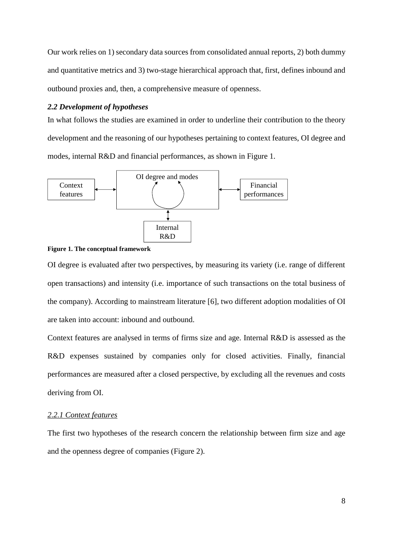Our work relies on 1) secondary data sources from consolidated annual reports, 2) both dummy and quantitative metrics and 3) two-stage hierarchical approach that, first, defines inbound and outbound proxies and, then, a comprehensive measure of openness.

### *2.2 Development of hypotheses*

In what follows the studies are examined in order to underline their contribution to the theory development and the reasoning of our hypotheses pertaining to context features, OI degree and modes, internal R&D and financial performances, as shown in Figure 1.





OI degree is evaluated after two perspectives, by measuring its variety (i.e. range of different open transactions) and intensity (i.e. importance of such transactions on the total business of the company). According to mainstream literature [6], two different adoption modalities of OI are taken into account: inbound and outbound.

Context features are analysed in terms of firms size and age. Internal R&D is assessed as the R&D expenses sustained by companies only for closed activities. Finally, financial performances are measured after a closed perspective, by excluding all the revenues and costs deriving from OI.

# *2.2.1 Context features*

The first two hypotheses of the research concern the relationship between firm size and age and the openness degree of companies (Figure 2).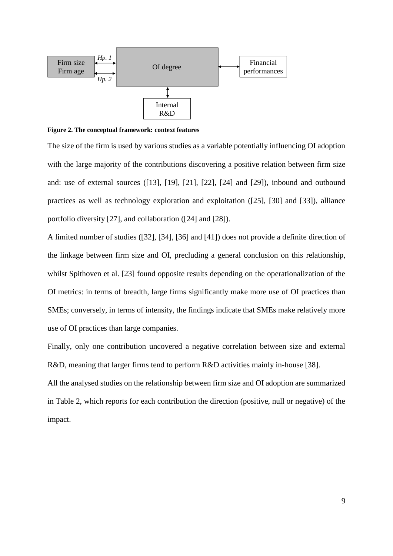

**Figure 2. The conceptual framework: context features**

The size of the firm is used by various studies as a variable potentially influencing OI adoption with the large majority of the contributions discovering a positive relation between firm size and: use of external sources ([13], [19], [21], [22], [24] and [29]), inbound and outbound practices as well as technology exploration and exploitation ([25], [30] and [33]), alliance portfolio diversity [27], and collaboration ([24] and [28]).

A limited number of studies ([32], [34], [36] and [41]) does not provide a definite direction of the linkage between firm size and OI, precluding a general conclusion on this relationship, whilst Spithoven et al. [23] found opposite results depending on the operationalization of the OI metrics: in terms of breadth, large firms significantly make more use of OI practices than SMEs; conversely, in terms of intensity, the findings indicate that SMEs make relatively more use of OI practices than large companies.

Finally, only one contribution uncovered a negative correlation between size and external R&D, meaning that larger firms tend to perform R&D activities mainly in-house [38].

All the analysed studies on the relationship between firm size and OI adoption are summarized in Table 2, which reports for each contribution the direction (positive, null or negative) of the impact.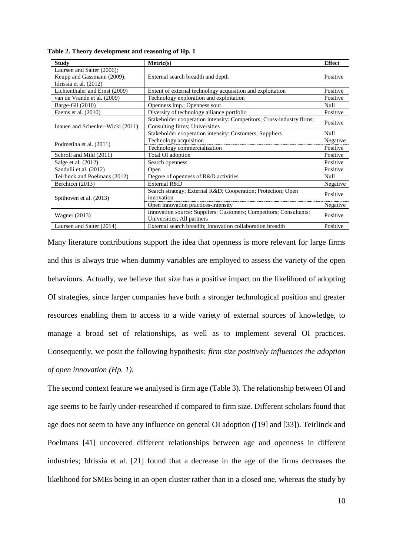| <b>Study</b>                     | Metric(s)                                                                                        | <b>Effect</b> |
|----------------------------------|--------------------------------------------------------------------------------------------------|---------------|
| Laursen and Salter (2006);       |                                                                                                  |               |
| Keupp and Gassmann (2009);       | External search breadth and depth                                                                | Positive      |
| Idrissia et al. (2012)           |                                                                                                  |               |
| Lichtenthaler and Ernst (2009)   | Extent of external technology acquisition and exploitation                                       | Positive      |
| van de Vrande et al. (2009)      | Technology exploration and exploitation                                                          | Positive      |
| Barge-Gil (2010)                 | Openness imp.; Openness sour.                                                                    | Null          |
| Faems et al. $(2010)$            | Diversity of technology alliance portfolio                                                       | Positive      |
|                                  | Stakeholder cooperation intensity: Competitors; Cross-industry firms;                            | Positive      |
| Inauen and Schenker-Wicki (2011) | Consulting firms; Universities                                                                   |               |
|                                  | Stakeholder cooperation intensity: Customers; Suppliers                                          | Null          |
|                                  | Technology acquisition                                                                           |               |
| Podmetina et al. (2011)          | Technology commercialization                                                                     |               |
| Schroll and Mild (2011)          | Total OI adoption                                                                                | Positive      |
| Salge et al. (2012)              | Search openness                                                                                  | Positive      |
| Sandulli et al. (2012)           | Open                                                                                             | Positive      |
| Teirlinck and Poelmans (2012)    | Degree of openness of R&D activities                                                             | Null          |
| Berchicci (2013)                 | External R&D                                                                                     | Negative      |
|                                  | Search strategy; External R&D Cooperation; Protection; Open                                      | Positive      |
| Spithoven et al. (2013)          | innovation                                                                                       |               |
|                                  | Open innovation practices-intensity                                                              | Negative      |
|                                  | Innovation source: Suppliers; Customers; Competitors; Consultants;<br>Universities; All partners |               |
| Wagner $(2013)$                  |                                                                                                  |               |
| Laursen and Salter (2014)        | External search breadth; Innovation collaboration breadth                                        | Positive      |

**Table 2. Theory development and reasoning of Hp. 1** 

Many literature contributions support the idea that openness is more relevant for large firms and this is always true when dummy variables are employed to assess the variety of the open behaviours. Actually, we believe that size has a positive impact on the likelihood of adopting OI strategies, since larger companies have both a stronger technological position and greater resources enabling them to access to a wide variety of external sources of knowledge, to manage a broad set of relationships, as well as to implement several OI practices. Consequently, we posit the following hypothesis: *firm size positively influences the adoption of open innovation (Hp. 1)*.

The second context feature we analysed is firm age (Table 3)*.* The relationship between OI and age seems to be fairly under-researched if compared to firm size. Different scholars found that age does not seem to have any influence on general OI adoption ([19] and [33]). Teirlinck and Poelmans [41] uncovered different relationships between age and openness in different industries; Idrissia et al. [21] found that a decrease in the age of the firms decreases the likelihood for SMEs being in an open cluster rather than in a closed one, whereas the study by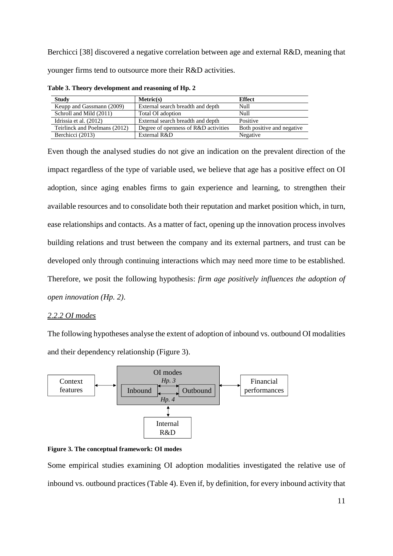Berchicci [38] discovered a negative correlation between age and external R&D, meaning that younger firms tend to outsource more their R&D activities.

| <b>Study</b>                  | Metric(s)                            | <b>Effect</b>              |
|-------------------------------|--------------------------------------|----------------------------|
| Keupp and Gassmann (2009)     | External search breadth and depth    | Null                       |
| Schroll and Mild (2011)       | Total OI adoption                    | Null                       |
| Idrissia et al. (2012)        | External search breadth and depth    | Positive                   |
| Teirlinck and Poelmans (2012) | Degree of openness of R&D activities | Both positive and negative |
| Berchicci (2013)              | External R&D                         | Negative                   |

**Table 3. Theory development and reasoning of Hp. 2** 

Even though the analysed studies do not give an indication on the prevalent direction of the impact regardless of the type of variable used, we believe that age has a positive effect on OI adoption, since aging enables firms to gain experience and learning, to strengthen their available resources and to consolidate both their reputation and market position which, in turn, ease relationships and contacts. As a matter of fact, opening up the innovation process involves building relations and trust between the company and its external partners, and trust can be developed only through continuing interactions which may need more time to be established. Therefore, we posit the following hypothesis: *firm age positively influences the adoption of open innovation (Hp. 2)*.

# *2.2.2 OI modes*

The following hypotheses analyse the extent of adoption of inbound vs. outbound OI modalities and their dependency relationship (Figure 3).





Some empirical studies examining OI adoption modalities investigated the relative use of inbound vs. outbound practices (Table 4). Even if, by definition, for every inbound activity that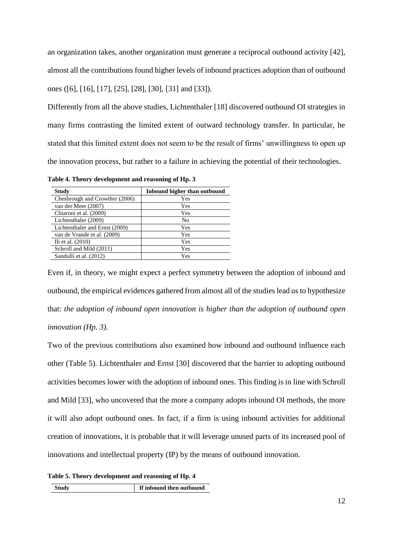an organization takes, another organization must generate a reciprocal outbound activity [42], almost all the contributions found higher levels of inbound practices adoption than of outbound ones ([6], [16], [17], [25], [28], [30], [31] and [33]).

Differently from all the above studies, Lichtenthaler [18] discovered outbound OI strategies in many firms contrasting the limited extent of outward technology transfer. In particular, he stated that this limited extent does not seem to be the result of firms' unwillingness to open up the innovation process, but rather to a failure in achieving the potential of their technologies.

**Induced by Study Induced by Study Induced by Induced by Study Induced by Study Induced by Study Induced by Study Induced by Study Induced by Study Induced by Study Induced by Study Induced by Study I** Chesbrough and Crowther (2006) Yes van der Meer (2007) Yes Chiaroni et al. (2009) Yes

**Table 4. Theory development and reasoning of Hp. 3** 

| Chesbrough and Crowther (2006) | Yes |
|--------------------------------|-----|
| van der Meer (2007)            | Yes |
| Chiaroni et al. (2009)         | Yes |
| Lichtenthaler (2009)           | No  |
| Lichtenthaler and Ernst (2009) | Yes |
| van de Vrande et al. (2009)    | Yes |
| Ili et al. $(2010)$            | Yes |
| Schroll and Mild (2011)        | Yes |
| Sandulli et al. (2012)         | Yes |

Even if, in theory, we might expect a perfect symmetry between the adoption of inbound and outbound, the empirical evidences gathered from almost all of the studies lead us to hypothesize that: *the adoption of inbound open innovation is higher than the adoption of outbound open innovation (Hp. 3)*.

Two of the previous contributions also examined how inbound and outbound influence each other (Table 5). Lichtenthaler and Ernst [30] discovered that the barrier to adopting outbound activities becomes lower with the adoption of inbound ones. This finding is in line with Schroll and Mild [33], who uncovered that the more a company adopts inbound OI methods, the more it will also adopt outbound ones. In fact, if a firm is using inbound activities for additional creation of innovations, it is probable that it will leverage unused parts of its increased pool of innovations and intellectual property (IP) by the means of outbound innovation.

**Table 5. Theory development and reasoning of Hp. 4**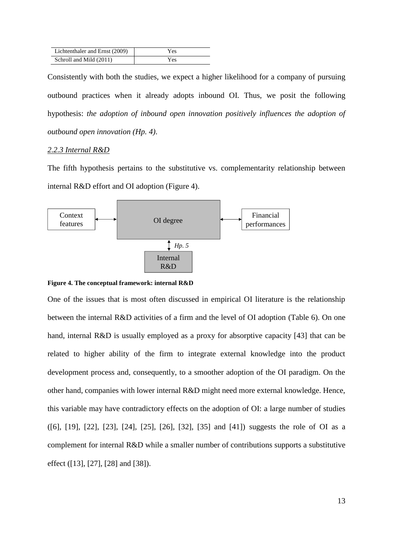| Lichtenthaler and Ernst (2009) | Yes |
|--------------------------------|-----|
| Schroll and Mild (2011)        | Yes |

Consistently with both the studies, we expect a higher likelihood for a company of pursuing outbound practices when it already adopts inbound OI. Thus, we posit the following hypothesis: *the adoption of inbound open innovation positively influences the adoption of outbound open innovation (Hp. 4)*.

### *2.2.3 Internal R&D*

The fifth hypothesis pertains to the substitutive vs. complementarity relationship between internal R&D effort and OI adoption (Figure 4).



**Figure 4. The conceptual framework: internal R&D**

One of the issues that is most often discussed in empirical OI literature is the relationship between the internal R&D activities of a firm and the level of OI adoption (Table 6). On one hand, internal R&D is usually employed as a proxy for absorptive capacity [43] that can be related to higher ability of the firm to integrate external knowledge into the product development process and, consequently, to a smoother adoption of the OI paradigm. On the other hand, companies with lower internal R&D might need more external knowledge. Hence, this variable may have contradictory effects on the adoption of OI: a large number of studies ([6], [19], [22], [23], [24], [25], [26], [32], [35] and [41]) suggests the role of OI as a complement for internal R&D while a smaller number of contributions supports a substitutive effect ([13], [27], [28] and [38]).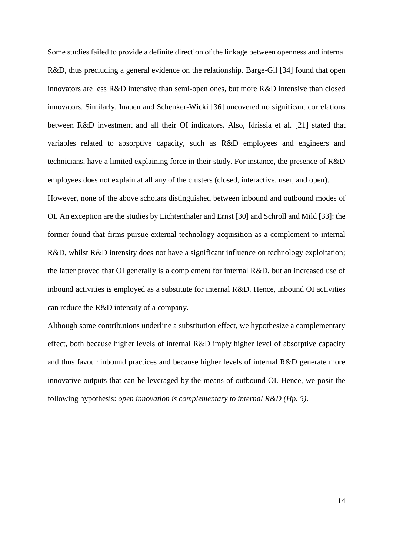Some studies failed to provide a definite direction of the linkage between openness and internal R&D, thus precluding a general evidence on the relationship. Barge-Gil [34] found that open innovators are less R&D intensive than semi-open ones, but more R&D intensive than closed innovators. Similarly, Inauen and Schenker-Wicki [36] uncovered no significant correlations between R&D investment and all their OI indicators. Also, Idrissia et al. [21] stated that variables related to absorptive capacity, such as R&D employees and engineers and technicians, have a limited explaining force in their study. For instance, the presence of R&D employees does not explain at all any of the clusters (closed, interactive, user, and open).

However, none of the above scholars distinguished between inbound and outbound modes of OI. An exception are the studies by Lichtenthaler and Ernst [30] and Schroll and Mild [33]: the former found that firms pursue external technology acquisition as a complement to internal R&D, whilst R&D intensity does not have a significant influence on technology exploitation; the latter proved that OI generally is a complement for internal R&D, but an increased use of inbound activities is employed as a substitute for internal R&D. Hence, inbound OI activities can reduce the R&D intensity of a company.

Although some contributions underline a substitution effect, we hypothesize a complementary effect, both because higher levels of internal R&D imply higher level of absorptive capacity and thus favour inbound practices and because higher levels of internal R&D generate more innovative outputs that can be leveraged by the means of outbound OI. Hence, we posit the following hypothesis: *open innovation is complementary to internal R&D (Hp. 5)*.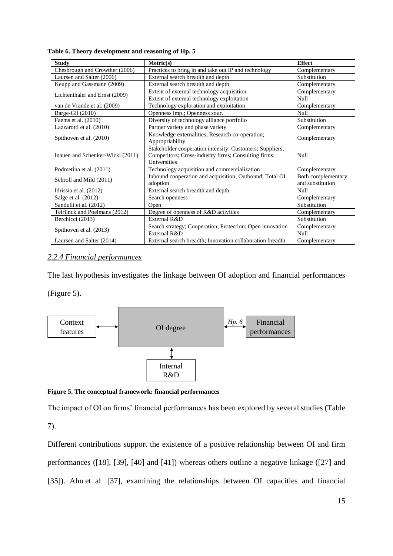| <b>Study</b>                                                                                                                                                         | Metric(s)                                                           | <b>Effect</b>                          |  |
|----------------------------------------------------------------------------------------------------------------------------------------------------------------------|---------------------------------------------------------------------|----------------------------------------|--|
| Chesbrough and Crowther (2006)                                                                                                                                       | Practices to bring in and take out IP and technology                | Complementary                          |  |
| Laursen and Salter (2006)                                                                                                                                            | External search breadth and depth                                   | Substitution                           |  |
| Keupp and Gassmann (2009)                                                                                                                                            | External search breadth and depth                                   | Complementary                          |  |
| Lichtenthaler and Ernst (2009)                                                                                                                                       | Extent of external technology acquisition                           | Complementary                          |  |
|                                                                                                                                                                      | Extent of external technology exploitation                          | Null                                   |  |
| van de Vrande et al. (2009)                                                                                                                                          | Technology exploration and exploitation                             | Complementary                          |  |
| Barge-Gil (2010)                                                                                                                                                     | Openness imp.; Openness sour.                                       | Null                                   |  |
| Faems et al. (2010)                                                                                                                                                  | Diversity of technology alliance portfolio                          | Substitution                           |  |
| Lazzarotti et al. (2010)                                                                                                                                             | Partner variety and phase variety                                   | Complementary                          |  |
| Knowledge externalities; Research co-operation;<br>Spithoven et al. (2010)<br>Appropriability                                                                        |                                                                     | Complementary                          |  |
| Stakeholder cooperation intensity: Customers; Suppliers;<br>Competitors; Cross-industry firms; Consulting firms;<br>Inauen and Schenker-Wicki (2011)<br>Universities |                                                                     | Null                                   |  |
| Podmetina et al. (2011)                                                                                                                                              | Technology acquisition and commercialization                        | Complementary                          |  |
| Schroll and Mild (2011)                                                                                                                                              | Inbound cooperation and acquisition; Outbound; Total OI<br>adoption | Both complementary<br>and substitution |  |
| Idrissia et al. (2012)                                                                                                                                               | External search breadth and depth                                   | Null                                   |  |
| Salge et al. (2012)                                                                                                                                                  | Search openness                                                     | Complementary                          |  |
| Sandulli et al. (2012)                                                                                                                                               | Open                                                                | Substitution                           |  |
| Teirlinck and Poelmans (2012)                                                                                                                                        | Degree of openness of R&D activities                                | Complementary                          |  |
| Berchicci (2013)                                                                                                                                                     | External R&D                                                        | Substitution                           |  |
|                                                                                                                                                                      | Search strategy; Cooperation; Protection; Open innovation           | Complementary                          |  |
| Spithoven et al. (2013)                                                                                                                                              | External R&D                                                        | Null                                   |  |
| Laursen and Salter (2014)                                                                                                                                            | External search breadth; Innovation collaboration breadth           | Complementary                          |  |

**Table 6. Theory development and reasoning of Hp. 5** 

# *2.2.4 Financial performances*

The last hypothesis investigates the linkage between OI adoption and financial performances

(Figure 5).



**Figure 5. The conceptual framework: financial performances**

The impact of OI on firms' financial performances has been explored by several studies (Table

7).

Different contributions support the existence of a positive relationship between OI and firm performances ([18], [39], [40] and [41]) whereas others outline a negative linkage ([27] and [35]). Ahn et al. [37], examining the relationships between OI capacities and financial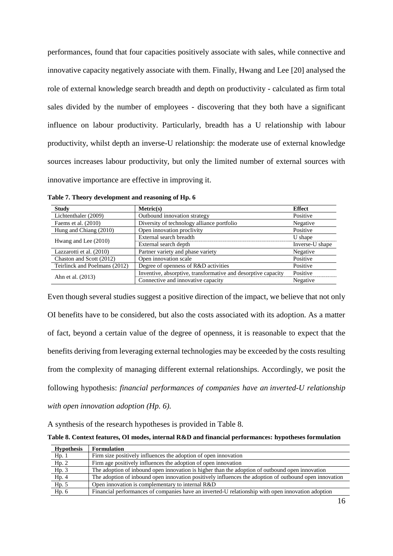performances, found that four capacities positively associate with sales, while connective and innovative capacity negatively associate with them. Finally, Hwang and Lee [20] analysed the role of external knowledge search breadth and depth on productivity - calculated as firm total sales divided by the number of employees - discovering that they both have a significant influence on labour productivity. Particularly, breadth has a U relationship with labour productivity, whilst depth an inverse-U relationship: the moderate use of external knowledge sources increases labour productivity, but only the limited number of external sources with innovative importance are effective in improving it.

| <b>Study</b>                  | Metric(s)                                                     | <b>Effect</b>   |
|-------------------------------|---------------------------------------------------------------|-----------------|
| Lichtenthaler (2009)          | Outbound innovation strategy                                  | Positive        |
| Faems et al. $(2010)$         | Diversity of technology alliance portfolio                    | Negative        |
| Hung and Chiang (2010)        | Open innovation proclivity                                    | Positive        |
| Hwang and Lee (2010)          | External search breadth                                       | U shape         |
|                               | External search depth                                         | Inverse-U shape |
| Lazzarotti et al. (2010)      | Partner variety and phase variety                             | Negative        |
| Chaston and Scott (2012)      | Open innovation scale                                         | Positive        |
| Teirlinck and Poelmans (2012) | Degree of openness of R&D activities                          | Positive        |
| Ahn et al. (2013)             | Inventive, absorptive, transformative and desorptive capacity | Positive        |
|                               | Connective and innovative capacity                            | Negative        |

**Table 7. Theory development and reasoning of Hp. 6** 

Even though several studies suggest a positive direction of the impact, we believe that not only OI benefits have to be considered, but also the costs associated with its adoption. As a matter of fact, beyond a certain value of the degree of openness, it is reasonable to expect that the benefits deriving from leveraging external technologies may be exceeded by the costs resulting from the complexity of managing different external relationships. Accordingly, [we posit the](http://papers.ssrn.com/sol3/cf_dev/AbsByAuth.cfm?per_id=2124628)  [following hypothesis:](http://papers.ssrn.com/sol3/cf_dev/AbsByAuth.cfm?per_id=2124628) *financial performances of companies have an inverted-U relationship with open innovation adoption (Hp. 6)*.

A synthesis of the research hypotheses is provided in Table 8.

| <b>Hypothesis</b> | <b>Formulation</b>                                                                                     |
|-------------------|--------------------------------------------------------------------------------------------------------|
| Hp.1              | Firm size positively influences the adoption of open innovation                                        |
| Hp.2              | Firm age positively influences the adoption of open innovation                                         |
| Hp.3              | The adoption of inbound open innovation is higher than the adoption of outbound open innovation        |
| Hp.4              | The adoption of inbound open innovation positively influences the adoption of outbound open innovation |
| Hp.5              | Open innovation is complementary to internal R&D                                                       |
| Hp. 6             | Financial performances of companies have an inverted-U relationship with open innovation adoption      |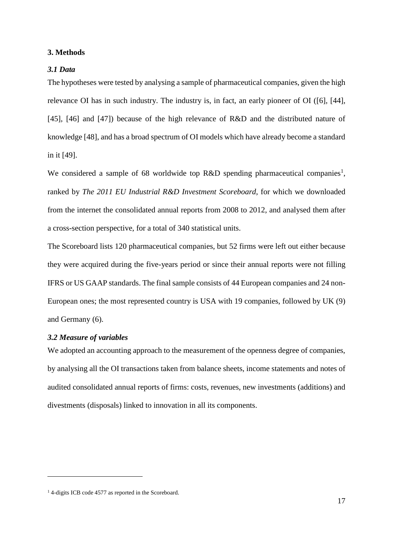### **3. Methods**

### *3.1 Data*

The hypotheses were tested by analysing a sample of pharmaceutical companies, given the high relevance OI has in such industry. The industry is, in fact, an early pioneer of OI ([6], [44], [45], [46] and [47]) because of the high relevance of R&D and the distributed nature of knowledge [48], and has a broad spectrum of OI models which have already become a standard in it [49].

We considered a sample of 68 worldwide top R&D spending pharmaceutical companies<sup>1</sup>, ranked by *The 2011 EU Industrial R&D Investment Scoreboard*, for which we downloaded from the internet the consolidated annual reports from 2008 to 2012, and analysed them after a cross-section perspective, for a total of 340 statistical units.

The Scoreboard lists 120 pharmaceutical companies, but 52 firms were left out either because they were acquired during the five-years period or since their annual reports were not filling IFRS or US GAAP standards. The final sample consists of 44 European companies and 24 non-European ones; the most represented country is USA with 19 companies, followed by UK (9) and Germany (6).

## *3.2 Measure of variables*

1

We adopted an accounting approach to the measurement of the openness degree of companies, by analysing all the OI transactions taken from balance sheets, income statements and notes of audited consolidated annual reports of firms: costs, revenues, new investments (additions) and divestments (disposals) linked to innovation in all its components.

<sup>&</sup>lt;sup>1</sup> 4-digits ICB code 4577 as reported in the Scoreboard.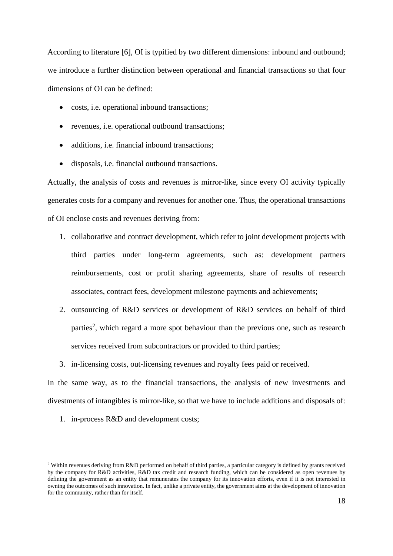According to literature [6], OI is typified by two different dimensions: inbound and outbound; we introduce a further distinction between operational and financial transactions so that four dimensions of OI can be defined:

- costs, i.e. operational inbound transactions;
- revenues, i.e. operational outbound transactions;
- additions, i.e. financial inbound transactions;
- disposals, i.e. financial outbound transactions.

Actually, the analysis of costs and revenues is mirror-like, since every OI activity typically generates costs for a company and revenues for another one. Thus, the operational transactions of OI enclose costs and revenues deriving from:

- 1. collaborative and contract development, which refer to joint development projects with third parties under long-term agreements, such as: development partners reimbursements, cost or profit sharing agreements, share of results of research associates, contract fees, development milestone payments and achievements;
- 2. outsourcing of R&D services or development of R&D services on behalf of third parties<sup>2</sup>, which regard a more spot behaviour than the previous one, such as research services received from subcontractors or provided to third parties;
- 3. in-licensing costs, out-licensing revenues and royalty fees paid or received.

In the same way, as to the financial transactions, the analysis of new investments and divestments of intangibles is mirror-like, so that we have to include additions and disposals of:

1. in-process R&D and development costs;

<u>.</u>

<sup>&</sup>lt;sup>2</sup> Within revenues deriving from R&D performed on behalf of third parties, a particular category is defined by grants received by the company for R&D activities, R&D tax credit and research funding, which can be considered as open revenues by defining the government as an entity that remunerates the company for its innovation efforts, even if it is not interested in owning the outcomes of such innovation. In fact, unlike a private entity, the government aims at the development of innovation for the community, rather than for itself.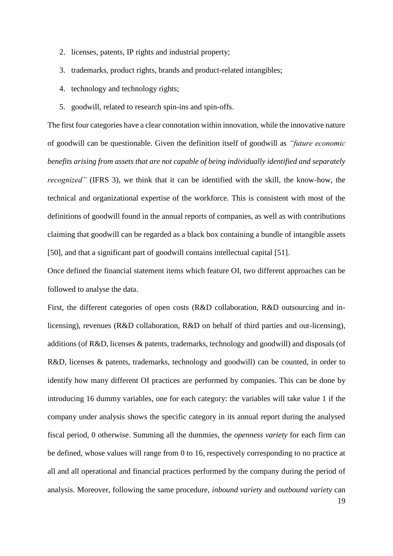- 2. licenses, patents, IP rights and industrial property;
- 3. trademarks, product rights, brands and product-related intangibles;
- 4. technology and technology rights;
- 5. goodwill, related to research spin-ins and spin-offs.

The first four categories have a clear connotation within innovation, while the innovative nature of goodwill can be questionable. Given the definition itself of goodwill as *"future economic benefits arising from assets that are not capable of being individually identified and separately recognized"* (IFRS 3), we think that it can be identified with the skill, the know-how, the technical and organizational expertise of the workforce. This is consistent with most of the definitions of goodwill found in the annual reports of companies, as well as with contributions claiming that goodwill can be regarded as a black box containing a bundle of intangible assets [50], and that a significant part of goodwill contains intellectual capital [51].

Once defined the financial statement items which feature OI, two different approaches can be followed to analyse the data.

First, the different categories of open costs (R&D collaboration, R&D outsourcing and inlicensing), revenues (R&D collaboration, R&D on behalf of third parties and out-licensing), additions (of R&D, licenses & patents, trademarks, technology and goodwill) and disposals (of R&D, licenses & patents, trademarks, technology and goodwill) can be counted, in order to identify how many different OI practices are performed by companies. This can be done by introducing 16 dummy variables, one for each category: the variables will take value 1 if the company under analysis shows the specific category in its annual report during the analysed fiscal period, 0 otherwise. Summing all the dummies, the *openness variety* for each firm can be defined, whose values will range from 0 to 16, respectively corresponding to no practice at all and all operational and financial practices performed by the company during the period of analysis. Moreover, following the same procedure, *inbound variety* and *outbound variety* can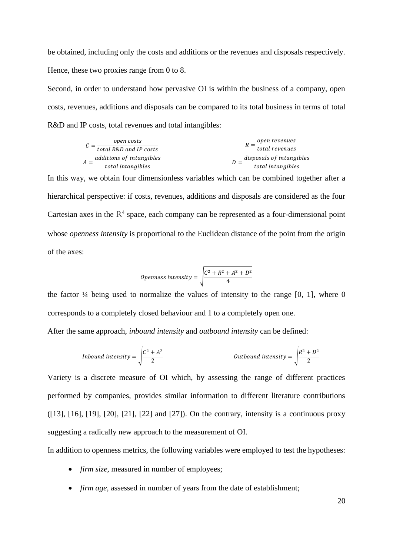be obtained, including only the costs and additions or the revenues and disposals respectively. Hence, these two proxies range from 0 to 8.

Second, in order to understand how pervasive OI is within the business of a company, open costs, revenues, additions and disposals can be compared to its total business in terms of total R&D and IP costs, total revenues and total intangibles:

$$
C = \frac{open \; costs}{total \; R\&D \; and \; IP \; costs}
$$
\n
$$
A = \frac{additions \; of \; intangles}{total \; intangles}
$$
\n
$$
D = \frac{disposals \; of \; intangles}{total \; intangles}
$$

In this way, we obtain four dimensionless variables which can be combined together after a hierarchical perspective: if costs, revenues, additions and disposals are considered as the four Cartesian axes in the  $R<sup>4</sup>$  space, each company can be represented as a four-dimensional point whose *openness intensity* is proportional to the Euclidean distance of the point from the origin of the axes:

$$
Openness intensity = \sqrt{\frac{C^2 + R^2 + A^2 + D^2}{4}}
$$

the factor  $\frac{1}{4}$  being used to normalize the values of intensity to the range [0, 1], where 0 corresponds to a completely closed behaviour and 1 to a completely open one.

After the same approach, *inbound intensity* and *outbound intensity* can be defined:

*Inbound intensity* = 
$$
\sqrt{\frac{C^2 + A^2}{2}}
$$
 *Outbound intensity* =  $\sqrt{\frac{R^2 + D^2}{2}}$ 

Variety is a discrete measure of OI which, by assessing the range of different practices performed by companies, provides similar information to different literature contributions ([13], [16], [19], [20], [21], [22] and [27]). On the contrary, intensity is a continuous proxy suggesting a radically new approach to the measurement of OI.

In addition to openness metrics, the following variables were employed to test the hypotheses:

- *firm size*, measured in number of employees;
- *firm age*, assessed in number of years from the date of establishment;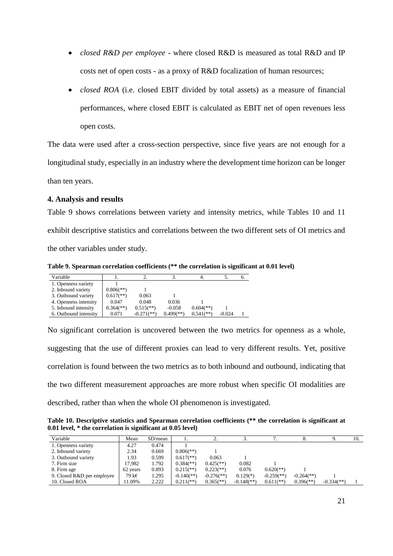- *closed R&D per employee* where closed R&D is measured as total R&D and IP costs net of open costs - as a proxy of R&D focalization of human resources;
- *closed ROA* (i.e. closed EBIT divided by total assets) as a measure of financial performances, where closed EBIT is calculated as EBIT net of open revenues less open costs.

The data were used after a cross-section perspective, since five years are not enough for a longitudinal study, especially in an industry where the development time horizon can be longer

than ten years.

### **4. Analysis and results**

Table 9 shows correlations between variety and intensity metrics, while Tables 10 and 11 exhibit descriptive statistics and correlations between the two different sets of OI metrics and the other variables under study.

**Table 9. Spearman correlation coefficients (\*\* the correlation is significant at 0.01 level)**

| Variable              |                           |                         |                           |                           |          | v. |
|-----------------------|---------------------------|-------------------------|---------------------------|---------------------------|----------|----|
| 1. Openness variety   |                           |                         |                           |                           |          |    |
| 2. Inbound variety    | $0.806$ <sup>(**)</sup> ) |                         |                           |                           |          |    |
| 3. Outbound variety   | $0.617$ <sup>**</sup> )   | 0.063                   |                           |                           |          |    |
| 4. Openness intensity | 0.047                     | 0.048                   | 0.036                     |                           |          |    |
| 5. Inbound intensity  | $0.364$ <sup>(**)</sup> ) | $0.515$ <sup>**</sup> ) | $-0.058$                  | $0.604$ <sup>(**)</sup> ) |          |    |
| 6. Outbound intensity | 0.071                     | $-0.271$ (**)           | $0.499$ <sup>(**)</sup> ) | $0.541$ <sup>(**)</sup> ) | $-0.024$ |    |

No significant correlation is uncovered between the two metrics for openness as a whole, suggesting that the use of different proxies can lead to very different results. Yet, positive correlation is found between the two metrics as to both inbound and outbound, indicating that the two different measurement approaches are more robust when specific OI modalities are described, rather than when the whole OI phenomenon is investigated.

**Table 10. Descriptive statistics and Spearman correlation coefficients (\*\* the correlation is significant at 0.01 level, \* the correlation is significant at 0.05 level)**

| Variable                   | Mean     | SD/mean |                            | <u>.</u>                   | J.                         |                            |                            |                            | 10. |
|----------------------------|----------|---------|----------------------------|----------------------------|----------------------------|----------------------------|----------------------------|----------------------------|-----|
| 1. Openness variety        | 4.27     | 0.474   |                            |                            |                            |                            |                            |                            |     |
| 2. Inbound variety         | 2.34     | 0.669   | $0.806$ <sup>(**)</sup>    |                            |                            |                            |                            |                            |     |
| 3. Outbound variety        | 1.93     | 0.599   | $0.617$ <sup>(**)</sup> )  | 0.063                      |                            |                            |                            |                            |     |
| 7. Firm size               | 17.982   | 1.792   | $0.384$ <sup>(**)</sup> )  | $0.425$ <sup>(**)</sup> )  | 0.082                      |                            |                            |                            |     |
| 8. Firm age                | 62 years | 0.893   | $0.215$ <sup>(**)</sup> )  | $0.223$ <sup>(**)</sup> )  | 0.076                      | $0.620$ <sup>(**)</sup> )  |                            |                            |     |
| 9. Closed R&D per employee | 79 k€    | 1.295   | $-0.140$ <sup>(**)</sup> ) | $-0.276$ <sup>(**)</sup> ) | $0.129(*)$                 | $-0.259$ <sup>(**)</sup> ) | $-0.264$ <sup>(**)</sup> ) |                            |     |
| 10. Closed ROA             | 11.09%   | 2.222   | $0.211$ <sup>(**)</sup> )  | $0.365$ <sup>(**)</sup> )  | $-0.148$ <sup>(**)</sup> ) | $0.611$ <sup>**</sup> )    | $0.396$ <sup>(**)</sup>    | $-0.334$ <sup>(**)</sup> ) |     |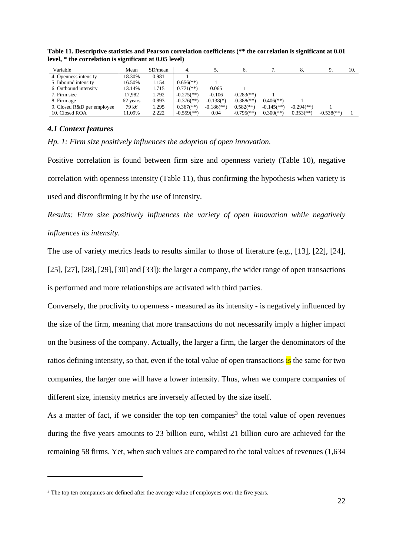| Variable                   | Mean     | SD/mean |                            |                          |                            |                           |                            |                            | 10. |
|----------------------------|----------|---------|----------------------------|--------------------------|----------------------------|---------------------------|----------------------------|----------------------------|-----|
| 4. Openness intensity      | 18.30%   | 0.981   |                            |                          |                            |                           |                            |                            |     |
| 5. Inbound intensity       | 16.50%   | 1.154   | $0.656$ <sup>(**)</sup> )  |                          |                            |                           |                            |                            |     |
| 6. Outbound intensity      | 13.14%   | 1.715   | $0.771$ (**)               | 0.065                    |                            |                           |                            |                            |     |
| 7. Firm size               | 17.982   | 1.792   | $-0.275$ <sup>(**)</sup> ) | $-0.106$                 | $-0.283$ <sup>(**)</sup> ) |                           |                            |                            |     |
| 8. Firm age                | 62 years | 0.893   | $-0.376$ <sup>**</sup> )   | $-0.138$ <sup>(*)</sup>  | $-0.388$ <sup>(**)</sup> ) | $0.406$ <sup>(**)</sup> ) |                            |                            |     |
| 9. Closed R&D per employee | 79 k€    | 1.295   | $0.367$ <sup>(**)</sup> )  | $-0.186$ <sup>**</sup> ) | $0.582$ <sup>**</sup> )    | $-0.145$ <sup>**</sup> )  | $-0.294$ <sup>(**)</sup> ) |                            |     |
| 10. Closed ROA             | 11.09%   | 2.222   | $-0.559$ <sup>(**)</sup>   | 0.04                     | $-0.795$ <sup>(**)</sup>   | $0.300$ <sup>(**)</sup>   | $0.353$ <sup>(**)</sup> )  | $-0.538$ <sup>(**)</sup> ) |     |

**Table 11. Descriptive statistics and Pearson correlation coefficients (\*\* the correlation is significant at 0.01 level, \* the correlation is significant at 0.05 level)**

# *4.1 Context features*

1

*Hp. 1: Firm size positively influences the adoption of open innovation.*

Positive correlation is found between firm size and openness variety (Table 10), negative correlation with openness intensity (Table 11), thus confirming the hypothesis when variety is used and disconfirming it by the use of intensity.

*Results: Firm size positively influences the variety of open innovation while negatively influences its intensity.*

The use of variety metrics leads to results similar to those of literature (e.g., [13], [22], [24], [25], [27], [28], [29], [30] and [33]): the larger a company, the wider range of open transactions is performed and more relationships are activated with third parties.

Conversely, the proclivity to openness - measured as its intensity - is negatively influenced by the size of the firm, meaning that more transactions do not necessarily imply a higher impact on the business of the company. Actually, the larger a firm, the larger the denominators of the ratios defining intensity, so that, even if the total value of open transactions is the same for two companies, the larger one will have a lower intensity. Thus, when we compare companies of different size, intensity metrics are inversely affected by the size itself.

As a matter of fact, if we consider the top ten companies<sup>3</sup> the total value of open revenues during the five years amounts to 23 billion euro, whilst 21 billion euro are achieved for the remaining 58 firms. Yet, when such values are compared to the total values of revenues (1,634

<sup>&</sup>lt;sup>3</sup> The top ten companies are defined after the average value of employees over the five years.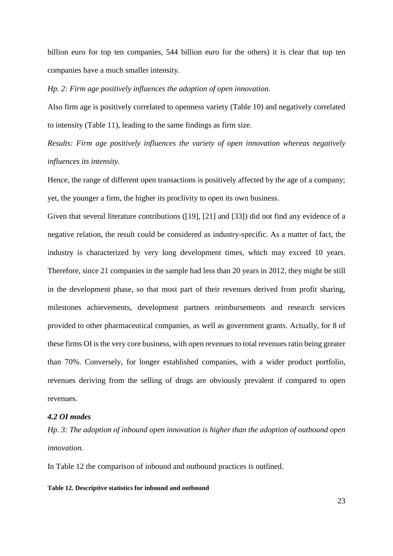billion euro for top ten companies, 544 billion euro for the others) it is clear that top ten companies have a much smaller intensity.

#### *Hp. 2: Firm age positively influences the adoption of open innovation.*

Also firm age is positively correlated to openness variety (Table 10) and negatively correlated to intensity (Table 11), leading to the same findings as firm size.

*Results: Firm age positively influences the variety of open innovation whereas negatively influences its intensity.*

Hence, the range of different open transactions is positively affected by the age of a company; yet, the younger a firm, the higher its proclivity to open its own business.

Given that several literature contributions ([19], [21] and [33]) did not find any evidence of a negative relation, the result could be considered as industry-specific. As a matter of fact, the industry is characterized by very long development times, which may exceed 10 years. Therefore, since 21 companies in the sample had less than 20 years in 2012, they might be still in the development phase, so that most part of their revenues derived from profit sharing, milestones achievements, development partners reimbursements and research services provided to other pharmaceutical companies, as well as government grants. Actually, for 8 of these firms OI is the very core business, with open revenues to total revenues ratio being greater than 70%. Conversely, for longer established companies, with a wider product portfolio, revenues deriving from the selling of drugs are obviously prevalent if compared to open revenues.

# *4.2 OI modes*

*Hp. 3: The adoption of inbound open innovation is higher than the adoption of outbound open innovation.*

In Table 12 the comparison of inbound and outbound practices is outlined.

#### **Table 12. Descriptive statistics for inbound and outbound**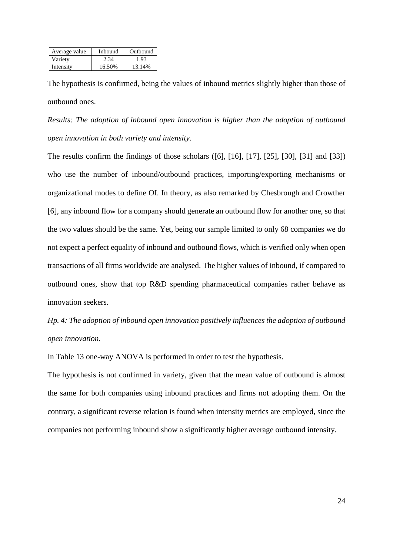| Average value | Inbound | Outbound |
|---------------|---------|----------|
| Variety       | 2.34    | 1.93     |
| Intensity     | 16.50%  | 13.14%   |

The hypothesis is confirmed, being the values of inbound metrics slightly higher than those of outbound ones.

*Results: The adoption of inbound open innovation is higher than the adoption of outbound open innovation in both variety and intensity.*

The results confirm the findings of those scholars ([6], [16], [17], [25], [30], [31] and [33]) who use the number of inbound/outbound practices, importing/exporting mechanisms or organizational modes to define OI. In theory, as also remarked by Chesbrough and Crowther [6], any inbound flow for a company should generate an outbound flow for another one, so that the two values should be the same. Yet, being our sample limited to only 68 companies we do not expect a perfect equality of inbound and outbound flows, which is verified only when open transactions of all firms worldwide are analysed. The higher values of inbound, if compared to outbound ones, show that top R&D spending pharmaceutical companies rather behave as innovation seekers.

*Hp. 4: The adoption of inbound open innovation positively influences the adoption of outbound open innovation.*

In Table 13 one-way ANOVA is performed in order to test the hypothesis.

The hypothesis is not confirmed in variety, given that the mean value of outbound is almost the same for both companies using inbound practices and firms not adopting them. On the contrary, a significant reverse relation is found when intensity metrics are employed, since the companies not performing inbound show a significantly higher average outbound intensity.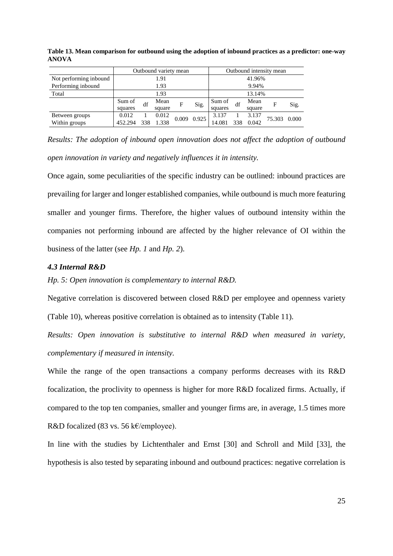|                        | Outbound variety mean |        |        |       |       | Outbound intensity mean |            |        |        |       |
|------------------------|-----------------------|--------|--------|-------|-------|-------------------------|------------|--------|--------|-------|
| Not performing inbound |                       | 41.96% |        |       |       |                         |            |        |        |       |
| Performing inbound     | 1.93                  |        |        |       |       | 9.94%                   |            |        |        |       |
| Total                  | 1.93                  |        |        |       |       | 13.14%                  |            |        |        |       |
|                        | Sum of                | df     | Mean   | F     | Sig.  | Sum of                  | Mean<br>df |        | F      | Sig.  |
|                        | squares               |        | square |       |       | squares                 |            | square |        |       |
| Between groups         | 0.012                 |        | 0.012  | 0.009 | 0.925 | 3.137                   |            | 3.137  |        |       |
| Within groups          | 452.294               | 338    | 1.338  |       |       | 14.081                  |            | 0.042  | 75.303 | 0.000 |

**Table 13. Mean comparison for outbound using the adoption of inbound practices as a predictor: one-way ANOVA**

*Results: The adoption of inbound open innovation does not affect the adoption of outbound open innovation in variety and negatively influences it in intensity.*

Once again, some peculiarities of the specific industry can be outlined: inbound practices are prevailing for larger and longer established companies, while outbound is much more featuring smaller and younger firms. Therefore, the higher values of outbound intensity within the companies not performing inbound are affected by the higher relevance of OI within the business of the latter (see *Hp. 1* and *Hp. 2*).

# *4.3 Internal R&D*

*Hp. 5: Open innovation is complementary to internal R&D.*

Negative correlation is discovered between closed R&D per employee and openness variety (Table 10), whereas positive correlation is obtained as to intensity (Table 11).

*Results: Open innovation is substitutive to internal R&D when measured in variety, complementary if measured in intensity.*

While the range of the open transactions a company performs decreases with its R&D focalization, the proclivity to openness is higher for more R&D focalized firms. Actually, if compared to the top ten companies, smaller and younger firms are, in average, 1.5 times more R&D focalized (83 vs. 56 k€/employee).

In line with the studies by Lichtenthaler and Ernst [30] and Schroll and Mild [33], the hypothesis is also tested by separating inbound and outbound practices: negative correlation is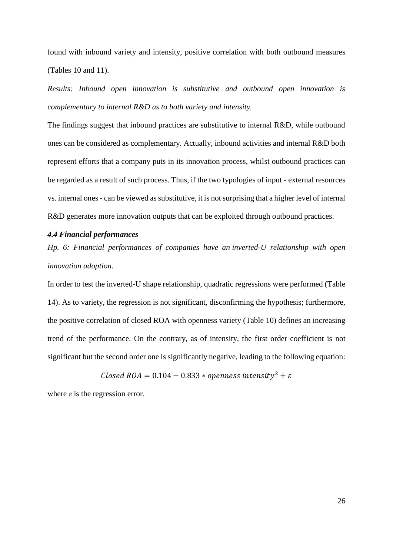found with inbound variety and intensity, positive correlation with both outbound measures (Tables 10 and 11).

*Results: Inbound open innovation is substitutive and outbound open innovation is complementary to internal R&D as to both variety and intensity.*

The findings suggest that inbound practices are substitutive to internal R&D, while outbound ones can be considered as complementary. Actually, inbound activities and internal R&D both represent efforts that a company puts in its innovation process, whilst outbound practices can be regarded as a result of such process. Thus, if the two typologies of input - external resources vs. internal ones - can be viewed as substitutive, it is not surprising that a higher level of internal R&D generates more innovation outputs that can be exploited through outbound practices.

# *4.4 Financial performances*

*Hp. 6: Financial performances of companies have an inverted-U relationship with open innovation adoption.*

In order to test the inverted-U shape relationship, quadratic regressions were performed (Table 14). As to variety, the regression is not significant, disconfirming the hypothesis; furthermore, the positive correlation of closed ROA with openness variety (Table 10) defines an increasing trend of the performance. On the contrary, as of intensity, the first order coefficient is not significant but the second order one is significantly negative, leading to the following equation:

*Closed ROA* = 
$$
0.104 - 0.833 * openness intensity2 +  $\varepsilon$
$$

where  $\varepsilon$  is the regression error.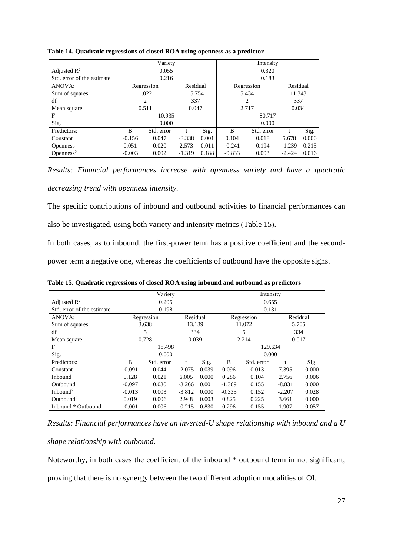|                            |                   | Variety    |          | Intensity |                        |            |          |       |  |
|----------------------------|-------------------|------------|----------|-----------|------------------------|------------|----------|-------|--|
| Adjusted $\mathbb{R}^2$    |                   | 0.055      |          |           | 0.320                  |            |          |       |  |
| Std. error of the estimate |                   | 0.216      |          |           | 0.183                  |            |          |       |  |
| ANOVA:                     |                   | Regression | Residual |           | Residual<br>Regression |            |          |       |  |
| Sum of squares             | 1.022             | 15.754     |          |           | 5.434                  | 11.343     |          |       |  |
| df                         |                   | 2          | 337      |           | 2                      |            | 337      |       |  |
| Mean square                |                   | 0.511      | 0.047    |           | 2.717                  |            | 0.034    |       |  |
| F                          |                   | 10.935     |          |           | 80.717                 |            |          |       |  |
| Sig.                       | 0.000             |            |          |           | 0.000                  |            |          |       |  |
| Predictors:                | B                 | Std. error |          | Sig.      | B                      | Std. error |          | Sig.  |  |
| Constant                   | 0.047<br>$-0.156$ |            | $-3.338$ | 0.001     | 0.104                  | 0.018      | 5.678    | 0.000 |  |
| <b>Openness</b>            | 0.051             | 0.020      | 2.573    | 0.011     | $-0.241$               | 0.194      | $-1.239$ | 0.215 |  |
| Openness <sup>2</sup>      | $-0.003$          | 0.002      | $-1.319$ | 0.188     | $-0.833$               | 0.003      | $-2.424$ | 0.016 |  |

#### **Table 14. Quadratic regressions of closed ROA using openness as a predictor**

*Results: Financial performances increase with openness variety and have a quadratic decreasing trend with openness intensity.*

The specific contributions of inbound and outbound activities to financial performances can also be investigated, using both variety and intensity metrics (Table 15).

In both cases, as to inbound, the first-power term has a positive coefficient and the second-

power term a negative one, whereas the coefficients of outbound have the opposite signs.

|                            |                                        | Variety    |          |       | Intensity |            |          |          |  |  |
|----------------------------|----------------------------------------|------------|----------|-------|-----------|------------|----------|----------|--|--|
| Adjusted $\mathbb{R}^2$    |                                        | 0.205      |          |       | 0.655     |            |          |          |  |  |
| Std. error of the estimate |                                        | 0.198      |          |       | 0.131     |            |          |          |  |  |
| ANOVA:                     |                                        | Regression | Residual |       |           | Regression |          | Residual |  |  |
| Sum of squares             |                                        | 3.638      | 13.139   |       | 11.072    |            | 5.705    |          |  |  |
| df                         | 5<br>334                               |            |          |       | 5         |            | 334      |          |  |  |
| Mean square                | 0.728<br>0.039                         |            |          |       |           | 2.214      |          | 0.017    |  |  |
| F                          |                                        | 18.498     |          |       | 129.634   |            |          |          |  |  |
| Sig.                       |                                        | 0.000      |          |       | 0.000     |            |          |          |  |  |
| Predictors:                | B                                      | Std. error | t        | Sig.  | B         | Std. error |          | Sig.     |  |  |
| Constant                   | $-0.091$                               | 0.044      | $-2.075$ | 0.039 | 0.096     | 0.013      | 7.395    | 0.000    |  |  |
| Inbound                    | 0.128                                  | 0.021      | 6.005    | 0.000 | 0.286     | 0.104      | 2.756    | 0.006    |  |  |
| Outbound                   | 0.030<br>0.001<br>$-0.097$<br>$-3.266$ |            |          |       | $-1.369$  | 0.155      | $-8.831$ | 0.000    |  |  |
| Inbound <sup>2</sup>       | $-0.013$<br>0.003<br>$-3.812$          |            |          | 0.000 | $-0.335$  | 0.152      | $-2.207$ | 0.028    |  |  |
| Outbound <sup>2</sup>      | 0.019                                  | 2.948      | 0.003    | 0.825 | 0.225     | 3.661      | 0.000    |          |  |  |
| Inbound * Outbound         | $-0.001$                               | 0.006      | $-0.215$ | 0.830 | 0.296     | 0.155      | 1.907    | 0.057    |  |  |

**Table 15. Quadratic regressions of closed ROA using inbound and outbound as predictors**

*Results: Financial performances have an inverted-U shape relationship with inbound and a U* 

*shape relationship with outbound.*

Noteworthy, in both cases the coefficient of the inbound \* outbound term in not significant, proving that there is no synergy between the two different adoption modalities of OI.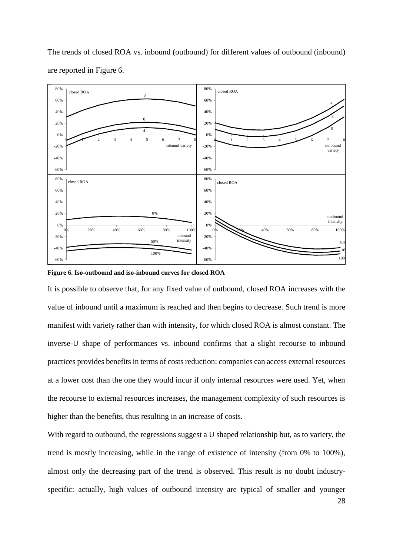

The trends of closed ROA vs. inbound (outbound) for different values of outbound (inbound) are reported in Figure 6.

**Figure 6. Iso-outbound and iso-inbound curves for closed ROA**

It is possible to observe that, for any fixed value of outbound, closed ROA increases with the value of inbound until a maximum is reached and then begins to decrease. Such trend is more manifest with variety rather than with intensity, for which closed ROA is almost constant. The inverse-U shape of performances vs. inbound confirms that a slight recourse to inbound practices provides benefits in terms of costs reduction: companies can access external resources at a lower cost than the one they would incur if only internal resources were used. Yet, when the recourse to external resources increases, the management complexity of such resources is higher than the benefits, thus resulting in an increase of costs.

With regard to outbound, the regressions suggest a U shaped relationship but, as to variety, the trend is mostly increasing, while in the range of existence of intensity (from 0% to 100%), almost only the decreasing part of the trend is observed. This result is no doubt industryspecific: actually, high values of outbound intensity are typical of smaller and younger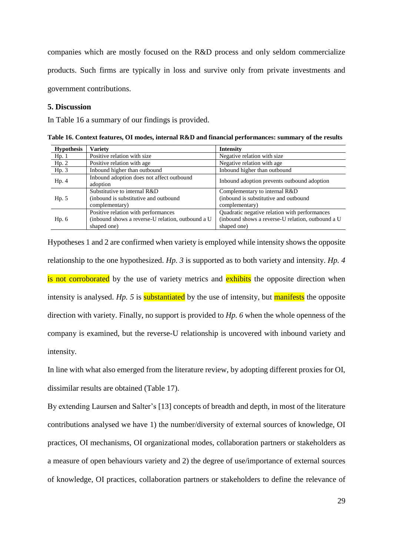companies which are mostly focused on the R&D process and only seldom commercialize products. Such firms are typically in loss and survive only from private investments and government contributions.

## **5. Discussion**

In Table 16 a summary of our findings is provided.

**Table 16. Context features, OI modes, internal R&D and financial performances: summary of the results**

| <b>Hypothesis</b> | Variety                                                                                                 | <b>Intensity</b>                                                                                                  |
|-------------------|---------------------------------------------------------------------------------------------------------|-------------------------------------------------------------------------------------------------------------------|
| Hp.1              | Positive relation with size                                                                             | Negative relation with size                                                                                       |
| Hp. 2             | Positive relation with age                                                                              | Negative relation with age                                                                                        |
| Hp.3              | Inbound higher than outbound                                                                            | Inbound higher than outbound                                                                                      |
| Hp. 4             | Inbound adoption does not affect outbound<br>adoption                                                   | Inbound adoption prevents outbound adoption                                                                       |
| Hp. 5             | Substitutive to internal R&D<br>(inbound is substitutive and outbound<br>complementary)                 | Complementary to internal R&D<br>(inbound is substitutive and outbound<br>complementary)                          |
| Hp. 6             | Positive relation with performances<br>(inbound shows a reverse-U relation, outbound a U<br>shaped one) | Quadratic negative relation with performances<br>(inbound shows a reverse-U relation, outbound a U<br>shaped one) |

Hypotheses 1 and 2 are confirmed when variety is employed while intensity shows the opposite relationship to the one hypothesized. *Hp. 3* is supported as to both variety and intensity. *Hp. 4* is not corroborated by the use of variety metrics and exhibits the opposite direction when intensity is analysed. *Hp.* 5 is **substantiated** by the use of intensity, but **manifests** the opposite direction with variety. Finally, no support is provided to *Hp. 6* when the whole openness of the company is examined, but the reverse-U relationship is uncovered with inbound variety and intensity.

In line with what also emerged from the literature review, by adopting different proxies for OI, dissimilar results are obtained (Table 17).

By extending Laursen and Salter's [13] concepts of breadth and depth, in most of the literature contributions analysed we have 1) the number/diversity of external sources of knowledge, OI practices, OI mechanisms, OI organizational modes, collaboration partners or stakeholders as a measure of open behaviours variety and 2) the degree of use/importance of external sources of knowledge, OI practices, collaboration partners or stakeholders to define the relevance of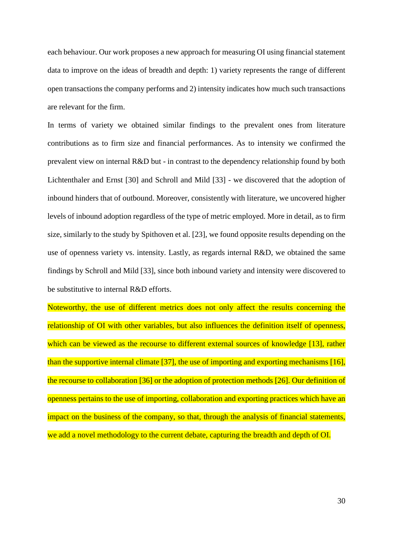each behaviour. Our work proposes a new approach for measuring OI using financial statement data to improve on the ideas of breadth and depth: 1) variety represents the range of different open transactions the company performs and 2) intensity indicates how much such transactions are relevant for the firm.

In terms of variety we obtained similar findings to the prevalent ones from literature contributions as to firm size and financial performances. As to intensity we confirmed the prevalent view on internal R&D but - in contrast to the dependency relationship found by both Lichtenthaler and Ernst [30] and Schroll and Mild [33] - we discovered that the adoption of inbound hinders that of outbound. Moreover, consistently with literature, we uncovered higher levels of inbound adoption regardless of the type of metric employed. More in detail, as to firm size, similarly to the study by Spithoven et al. [23], we found opposite results depending on the use of openness variety vs. intensity. Lastly, as regards internal R&D, we obtained the same findings by Schroll and Mild [33], since both inbound variety and intensity were discovered to be substitutive to internal R&D efforts.

Noteworthy, the use of different metrics does not only affect the results concerning the relationship of OI with other variables, but also influences the definition itself of openness, which can be viewed as the recourse to different external sources of knowledge [13], rather than the supportive internal climate [37], the use of importing and exporting mechanisms [16], the recourse to collaboration [36] or the adoption of protection methods [26]. Our definition of openness pertains to the use of importing, collaboration and exporting practices which have an impact on the business of the company, so that, through the analysis of financial statements, we add a novel methodology to the current debate, capturing the breadth and depth of OI.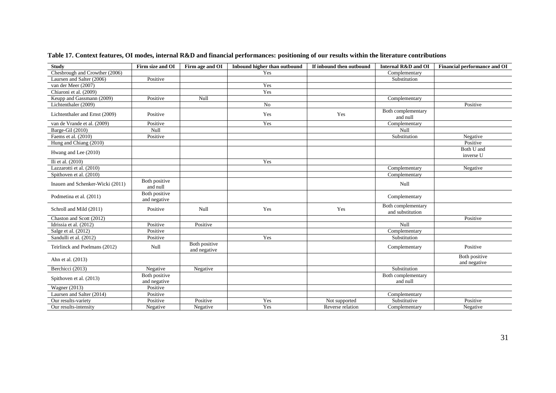| <b>Study</b>                     | Firm size and OI              | Firm age and OI               | Inbound higher than outbound | If inbound then outbound | Internal R&D and OI                    | <b>Financial performance and OI</b> |
|----------------------------------|-------------------------------|-------------------------------|------------------------------|--------------------------|----------------------------------------|-------------------------------------|
| Chesbrough and Crowther (2006)   |                               |                               | Yes                          |                          | Complementary                          |                                     |
| Laursen and Salter (2006)        | Positive                      |                               |                              |                          | Substitution                           |                                     |
| van der Meer (2007)              |                               |                               | Yes                          |                          |                                        |                                     |
| Chiaroni et al. (2009)           |                               |                               | Yes                          |                          |                                        |                                     |
| Keupp and Gassmann (2009)        | Positive                      | Null                          |                              |                          | Complementary                          |                                     |
| Lichtenthaler (2009)             |                               |                               | No                           |                          |                                        | Positive                            |
| Lichtenthaler and Ernst (2009)   | Positive                      |                               | Yes                          | Yes                      | Both complementary<br>and null         |                                     |
| van de Vrande et al. (2009)      | Positive                      |                               | Yes                          |                          | Complementary                          |                                     |
| Barge-Gil (2010)                 | Null                          |                               |                              |                          | Null                                   |                                     |
| Faems et al. (2010)              | Positive                      |                               |                              |                          | Substitution                           | Negative                            |
| Hung and Chiang (2010)           |                               |                               |                              |                          |                                        | Positive                            |
| Hwang and Lee (2010)             |                               |                               |                              |                          |                                        | Both U and<br>inverse U             |
| Ili et al. (2010)                |                               |                               | Yes                          |                          |                                        |                                     |
| Lazzarotti et al. (2010)         |                               |                               |                              |                          | Complementary                          | Negative                            |
| Spithoven et al. (2010)          |                               |                               |                              |                          | Complementary                          |                                     |
| Inauen and Schenker-Wicki (2011) | Both positive<br>and null     |                               |                              |                          | Null                                   |                                     |
| Podmetina et al. (2011)          | Both positive<br>and negative |                               |                              |                          | Complementary                          |                                     |
| Schroll and Mild (2011)          | Positive                      | Null                          | Yes                          | Yes                      | Both complementary<br>and substitution |                                     |
| Chaston and Scott (2012)         |                               |                               |                              |                          |                                        | Positive                            |
| Idrissia et al. (2012)           | Positive                      | Positive                      |                              |                          | Null                                   |                                     |
| Salge et al. (2012)              | Positive                      |                               |                              |                          | Complementary                          |                                     |
| Sandulli et al. (2012)           | Positive                      |                               | Yes                          |                          | Substitution                           |                                     |
| Teirlinck and Poelmans (2012)    | Null                          | Both positive<br>and negative |                              |                          | Complementary                          | Positive                            |
| Ahn et al. (2013)                |                               |                               |                              |                          |                                        | Both positive<br>and negative       |
| Berchicci (2013)                 | Negative                      | Negative                      |                              |                          | Substitution                           |                                     |
| Spithoven et al. (2013)          | Both positive<br>and negative |                               |                              |                          | Both complementary<br>and null         |                                     |
| <b>Wagner</b> (2013)             | Positive                      |                               |                              |                          |                                        |                                     |
| Laursen and Salter (2014)        | Positive                      |                               |                              |                          | Complementary                          |                                     |
| Our results-variety              | Positive                      | Positive                      | Yes                          | Not supported            | Substitutive                           | Positive                            |
| Our results-intensity            | Negative                      | Negative                      | Yes                          | Reverse relation         | Complementary                          | Negative                            |

**Table 17. Context features, OI modes, internal R&D and financial performances: positioning of our results within the literature contributions**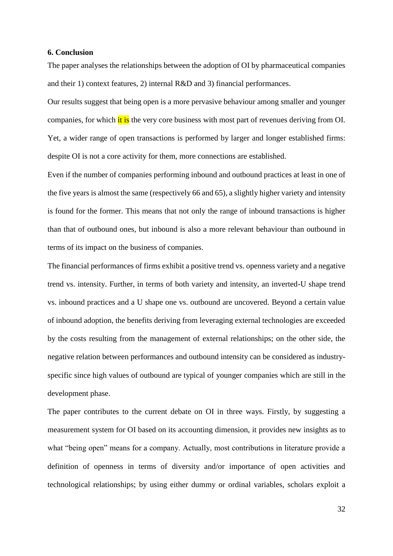#### **6. Conclusion**

The paper analyses the relationships between the adoption of OI by pharmaceutical companies and their 1) context features, 2) internal R&D and 3) financial performances.

Our results suggest that being open is a more pervasive behaviour among smaller and younger companies, for which it is the very core business with most part of revenues deriving from OI. Yet, a wider range of open transactions is performed by larger and longer established firms: despite OI is not a core activity for them, more connections are established.

Even if the number of companies performing inbound and outbound practices at least in one of the five years is almost the same (respectively 66 and 65), a slightly higher variety and intensity is found for the former. This means that not only the range of inbound transactions is higher than that of outbound ones, but inbound is also a more relevant behaviour than outbound in terms of its impact on the business of companies.

The financial performances of firms exhibit a positive trend vs. openness variety and a negative trend vs. intensity. Further, in terms of both variety and intensity, an inverted-U shape trend vs. inbound practices and a U shape one vs. outbound are uncovered. Beyond a certain value of inbound adoption, the benefits deriving from leveraging external technologies are exceeded by the costs resulting from the management of external relationships; on the other side, the negative relation between performances and outbound intensity can be considered as industryspecific since high values of outbound are typical of younger companies which are still in the development phase.

The paper contributes to the current debate on OI in three ways. Firstly, by suggesting a measurement system for OI based on its accounting dimension, it provides new insights as to what "being open" means for a company. Actually, most contributions in literature provide a definition of openness in terms of diversity and/or importance of open activities and technological relationships; by using either dummy or ordinal variables, scholars exploit a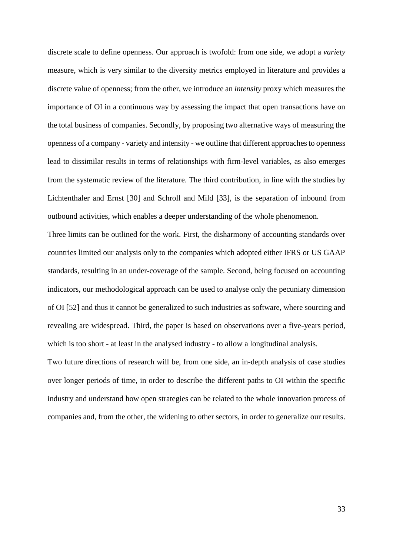discrete scale to define openness. Our approach is twofold: from one side, we adopt a *variety* measure, which is very similar to the diversity metrics employed in literature and provides a discrete value of openness; from the other, we introduce an *intensity* proxy which measures the importance of OI in a continuous way by assessing the impact that open transactions have on the total business of companies. Secondly, by proposing two alternative ways of measuring the openness of a company - variety and intensity - we outline that different approaches to openness lead to dissimilar results in terms of relationships with firm-level variables, as also emerges from the systematic review of the literature. The third contribution, in line with the studies by Lichtenthaler and Ernst [30] and Schroll and Mild [33], is the separation of inbound from outbound activities, which enables a deeper understanding of the whole phenomenon.

Three limits can be outlined for the work. First, the disharmony of accounting standards over countries limited our analysis only to the companies which adopted either IFRS or US GAAP standards, resulting in an under-coverage of the sample. Second, being focused on accounting indicators, our methodological approach can be used to analyse only the pecuniary dimension of OI [52] and thus it cannot be generalized to such industries as software, where sourcing and revealing are widespread. Third, the paper is based on observations over a five-years period, which is too short - at least in the analysed industry - to allow a longitudinal analysis.

Two future directions of research will be, from one side, an in-depth analysis of case studies over longer periods of time, in order to describe the different paths to OI within the specific industry and understand how open strategies can be related to the whole innovation process of companies and, from the other, the widening to other sectors, in order to generalize our results.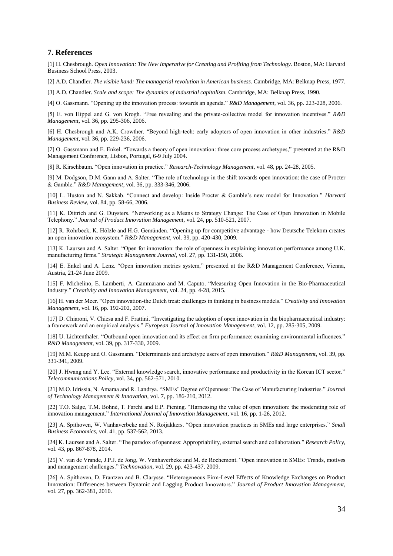#### **7. References**

[1] H. Chesbrough. *Open Innovation: The New Imperative for Creating and Profiting from Technology*. Boston, MA: Harvard Business School Press, 2003.

[2] A.D. Chandler. *The visible hand: The managerial revolution in American business*. Cambridge, MA: Belknap Press, 1977.

[3] A.D. Chandler. *Scale and scope: The dynamics of industrial capitalism*. Cambridge, MA: Belknap Press, 1990.

[4] O. Gassmann. "Opening up the innovation process: towards an agenda." *R&D Management*, vol. 36, pp. 223-228, 2006.

[5] E. von Hippel and G. von Krogh. "Free revealing and the private-collective model for innovation incentives." *R&D Management*, vol. 36, pp. 295-306, 2006.

[6] H. Chesbrough and A.K. Crowther. "Beyond high-tech: early adopters of open innovation in other industries." *R&D Management*, vol. 36, pp. 229-236, 2006.

[7] O. Gassmann and E. Enkel. "Towards a theory of open innovation: three core process archetypes," presented at the R&D Management Conference, Lisbon, Portugal, 6-9 July 2004.

[8] R. Kirschbaum. "Open innovation in practice." *Research-Technology Management*, vol. 48, pp. 24-28, 2005.

[9] M. Dodgson, D.M. Gann and A. Salter. "The role of technology in the shift towards open innovation: the case of Procter & Gamble." *R&D Management*, vol. 36, pp. 333-346, 2006.

[10] L. Huston and N. Sakkab. "Connect and develop: Inside Procter & Gamble's new model for Innovation." *Harvard Business Review*, vol. 84, pp. 58-66, 2006.

[11] K. Dittrich and G. Duysters. "Networking as a Means to Strategy Change: The Case of Open Innovation in Mobile Telephony." *Journal of Product Innovation Management*, vol. 24, pp. 510-521, 2007.

[12] R. Rohrbeck, K. Hölzle and H.G. Gemünden. "Opening up for competitive advantage - how Deutsche Telekom creates an open innovation ecosystem." *R&D Management*, vol. 39, pp. 420-430, 2009.

[13] K. Laursen and A. Salter. "Open for innovation: the role of openness in explaining innovation performance among U.K. manufacturing firms." *Strategic Management Journal*, vol. 27, pp. 131-150, 2006.

[14] E. Enkel and A. Lenz. "Open innovation metrics system," presented at the R&D Management Conference, Vienna, Austria, 21-24 June 2009.

[15] F. Michelino, E. Lamberti, A. Cammarano and M. Caputo. "Measuring Open Innovation in the Bio-Pharmaceutical Industry." *Creativity and Innovation Management*, vol. 24, pp. 4-28, 2015.

[16] H. van der Meer. "Open innovation-the Dutch treat: challenges in thinking in business models." *Creativity and Innovation Management*, vol. 16, pp. 192-202, 2007.

[17] D. Chiaroni, V. Chiesa and F. Frattini. "Investigating the adoption of open innovation in the biopharmaceutical industry: a framework and an empirical analysis." *European Journal of Innovation Management*, vol. 12, pp. 285-305, 2009.

[18] U. Lichtenthaler. "Outbound open innovation and its effect on firm performance: examining environmental influences." *R&D Management*, vol. 39, pp. 317-330, 2009.

[19] M.M. Keupp and O. Gassmann. "Determinants and archetype users of open innovation." *R&D Management*, vol. 39, pp. 331-341, 2009.

[20] J. Hwang and Y. Lee. "External knowledge search, innovative performance and productivity in the Korean ICT sector." *Telecommunications Policy*, vol. 34, pp. 562-571, 2010.

[21] M.O. Idrissia, N. Amaraa and R. Landrya. "SMEs' Degree of Openness: The Case of Manufacturing Industries." *Journal of Technology Management & Innovation*, vol. 7, pp. 186-210, 2012.

[22] T.O. Salge, T.M. Bohné, T. Farchi and E.P. Piening. "Harnessing the value of open innovation: the moderating role of innovation management." *International Journal of Innovation Management*, vol. 16, pp. 1-26, 2012.

[23] A. Spithoven, W. Vanhaverbeke and N. Roijakkers. "Open innovation practices in SMEs and large enterprises." *Small Business Economics*, vol. 41, pp. 537-562, 2013.

[24] K. Laursen and A. Salter. "The paradox of openness: Appropriability, external search and collaboration." *Research Policy*, vol. 43, pp. 867-878, 2014.

[25] V. van de Vrande, J.P.J. de Jong, W. Vanhaverbeke and M. de Rochemont. "Open innovation in SMEs: Trends, motives and management challenges." *Technovation*, vol. 29, pp. 423-437, 2009.

[26] A. Spithoven, D. Frantzen and B. Clarysse. "Heterogeneous Firm-Level Effects of Knowledge Exchanges on Product Innovation: Differences between Dynamic and Lagging Product Innovators." *Journal of Product Innovation Management*, vol. 27, pp. 362-381, 2010.